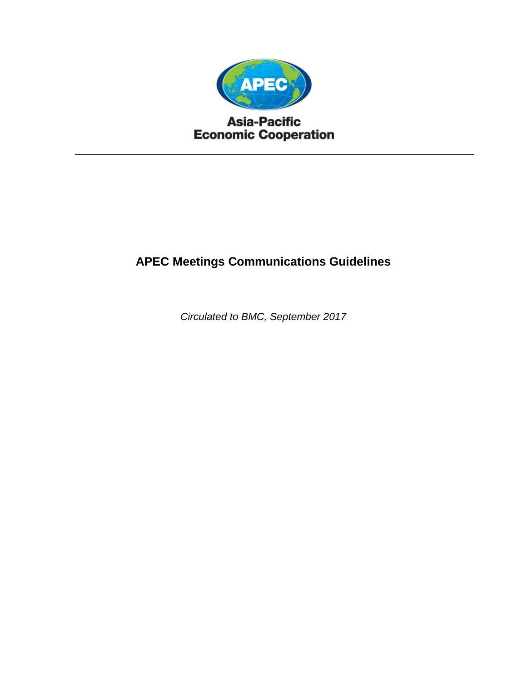

## **Asia-Pacific Economic Cooperation**

# **APEC Meetings Communications Guidelines**

*Circulated to BMC, September 2017*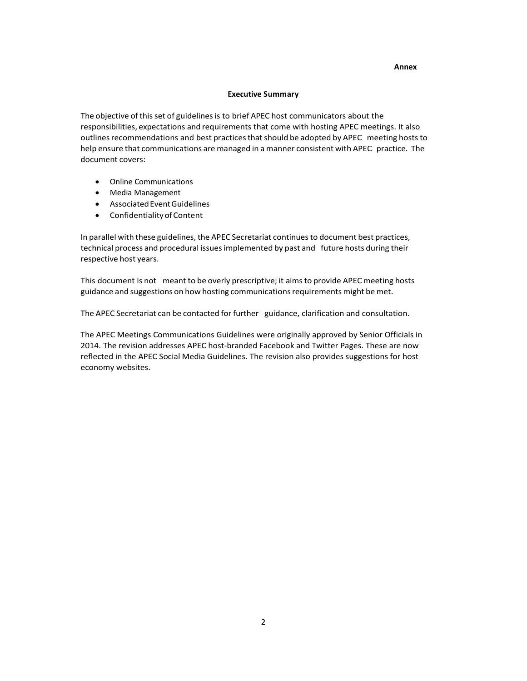#### **Annex**

#### **Executive Summary**

The objective of this set of guidelines is to brief APEC host communicators about the responsibilities, expectations and requirements that come with hosting APEC meetings. It also outlines recommendations and best practices that should be adopted by APEC meeting hosts to help ensure that communications are managed in a manner consistent with APEC practice. The document covers:

- Online Communications
- Media Management
- AssociatedEventGuidelines
- ConfidentialityofContent

In parallel with these guidelines, the APEC Secretariat continuesto document best practices, technical process and procedural issuesimplemented by past and future hosts during their respective host years.

This document is not meant to be overly prescriptive; it aimsto provide APEC meeting hosts guidance and suggestions on how hosting communications requirements might be met.

The APEC Secretariat can be contacted for further guidance, clarification and consultation.

The APEC Meetings Communications Guidelines were originally approved by Senior Officials in 2014. The revision addresses APEC host-branded Facebook and Twitter Pages. These are now reflected in the APEC Social Media Guidelines. The revision also provides suggestions for host economy websites.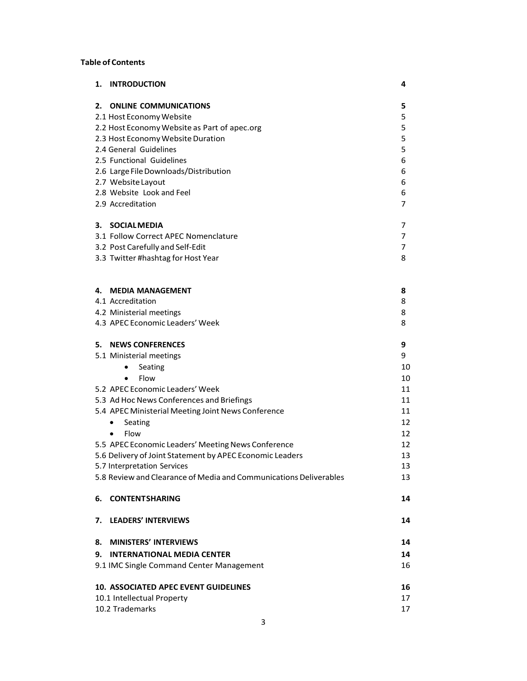## **Table of Contents**

| 1.                    | <b>INTRODUCTION</b>                                               | 4  |  |
|-----------------------|-------------------------------------------------------------------|----|--|
|                       | 2. ONLINE COMMUNICATIONS                                          | 5  |  |
|                       | 2.1 Host Economy Website                                          | 5  |  |
|                       | 2.2 Host Economy Website as Part of apec.org                      | 5  |  |
|                       | 2.3 Host Economy Website Duration                                 | 5  |  |
|                       | 2.4 General Guidelines                                            | 5  |  |
|                       | 2.5 Functional Guidelines                                         | 6  |  |
|                       | 2.6 Large File Downloads/Distribution                             | 6  |  |
|                       | 2.7 Website Layout                                                | 6  |  |
|                       | 2.8 Website Look and Feel                                         | 6  |  |
|                       | 2.9 Accreditation                                                 | 7  |  |
| 3.                    | <b>SOCIALMEDIA</b>                                                | 7  |  |
|                       | 3.1 Follow Correct APEC Nomenclature                              | 7  |  |
|                       | 3.2 Post Carefully and Self-Edit                                  | 7  |  |
|                       | 3.3 Twitter #hashtag for Host Year                                | 8  |  |
|                       |                                                                   |    |  |
| 4.                    | <b>MEDIA MANAGEMENT</b>                                           | 8  |  |
|                       | 4.1 Accreditation                                                 | 8  |  |
|                       | 4.2 Ministerial meetings                                          | 8  |  |
|                       | 4.3 APEC Economic Leaders' Week                                   | 8  |  |
|                       | 5. NEWS CONFERENCES                                               | 9  |  |
|                       | 5.1 Ministerial meetings                                          | 9  |  |
|                       | Seating<br>$\bullet$                                              | 10 |  |
|                       | Flow<br>$\bullet$                                                 | 10 |  |
|                       | 5.2 APEC Economic Leaders' Week                                   | 11 |  |
|                       | 5.3 Ad Hoc News Conferences and Briefings                         | 11 |  |
|                       | 5.4 APEC Ministerial Meeting Joint News Conference                | 11 |  |
|                       | Seating<br>٠                                                      | 12 |  |
|                       | Flow<br>$\bullet$                                                 | 12 |  |
|                       | 5.5 APEC Economic Leaders' Meeting News Conference                | 12 |  |
|                       | 5.6 Delivery of Joint Statement by APEC Economic Leaders          | 13 |  |
|                       | 5.7 Interpretation Services                                       | 13 |  |
|                       | 5.8 Review and Clearance of Media and Communications Deliverables | 13 |  |
| 6.                    | <b>CONTENTSHARING</b>                                             | 14 |  |
| 7.                    | <b>LEADERS' INTERVIEWS</b>                                        | 14 |  |
| 8.                    | <b>MINISTERS' INTERVIEWS</b>                                      | 14 |  |
| 9.                    | <b>INTERNATIONAL MEDIA CENTER</b>                                 | 14 |  |
|                       | 9.1 IMC Single Command Center Management                          | 16 |  |
|                       | <b>10. ASSOCIATED APEC EVENT GUIDELINES</b>                       | 16 |  |
|                       | 10.1 Intellectual Property                                        | 17 |  |
| 10.2 Trademarks<br>17 |                                                                   |    |  |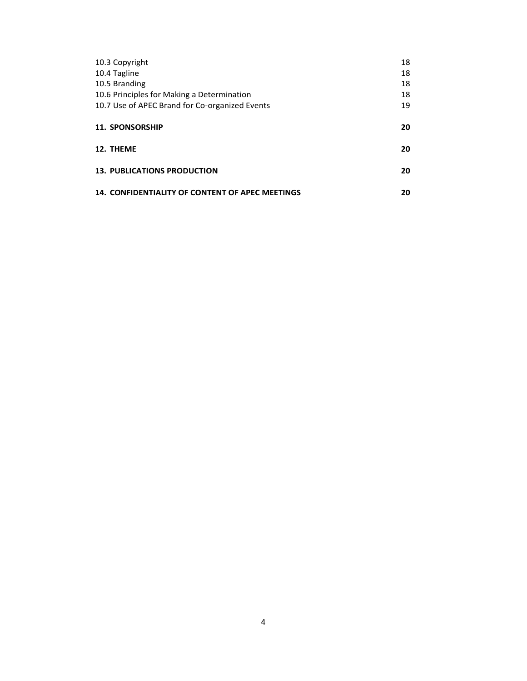| 10.3 Copyright                                         | 18 |
|--------------------------------------------------------|----|
| 10.4 Tagline                                           | 18 |
| 10.5 Branding                                          | 18 |
| 10.6 Principles for Making a Determination             | 18 |
| 10.7 Use of APEC Brand for Co-organized Events         | 19 |
|                                                        |    |
| <b>11. SPONSORSHIP</b>                                 | 20 |
| 12. THEME                                              | 20 |
| <b>13. PUBLICATIONS PRODUCTION</b>                     | 20 |
| <b>14. CONFIDENTIALITY OF CONTENT OF APEC MEETINGS</b> | 20 |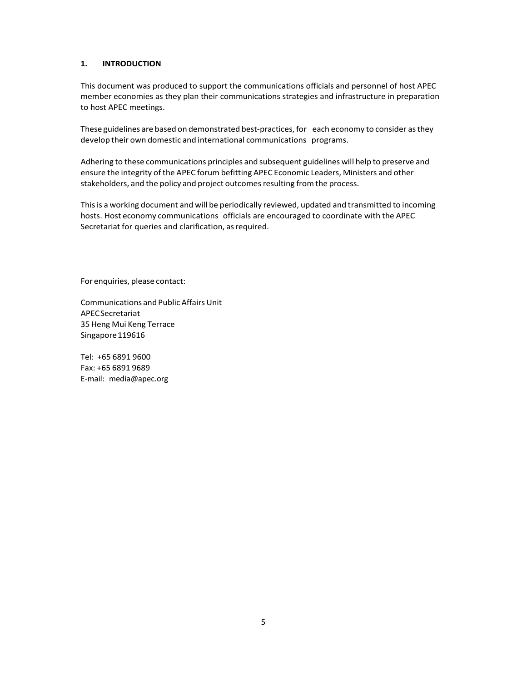#### **1. INTRODUCTION**

This document was produced to support the communications officials and personnel of host APEC member economies as they plan their communications strategies and infrastructure in preparation to host APEC meetings.

These guidelines are based on demonstrated best-practices, for each economy to consider as they develop their own domestic and international communications programs.

Adhering to these communications principles and subsequent guidelines will help to preserve and ensure the integrity of the APEC forum befitting APEC Economic Leaders, Ministers and other stakeholders, and the policy and project outcomes resulting from the process.

Thisis a working document and will be periodically reviewed, updated and transmitted to incoming hosts. Host economy communications officials are encouraged to coordinate with the APEC Secretariat for queries and clarification, as required.

For enquiries, please contact:

Communications and Public Affairs Unit APECSecretariat 35 Heng Mui Keng Terrace Singapore 119616

Tel: +65 6891 9600 Fax: +65 6891 9689 E‐mail: [media@apec.org](mailto:media@apec.org)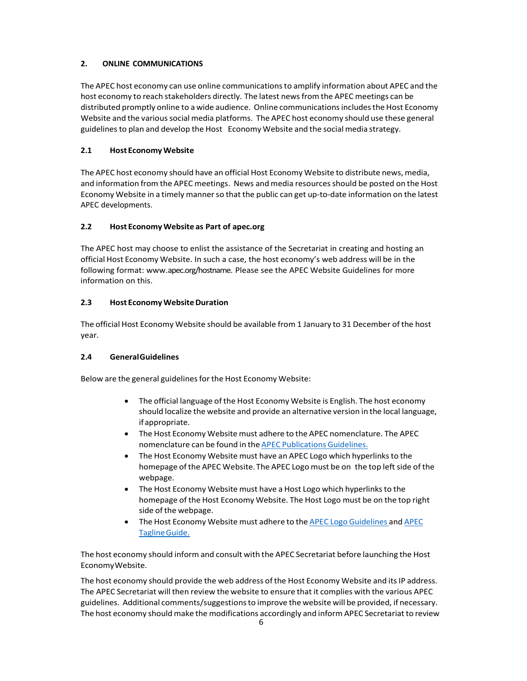## **2. ONLINE COMMUNICATIONS**

The APEC host economy can use online communicationsto amplify information about APEC and the host economy to reach stakeholders directly. The latest newsfrom the APEC meetings can be distributed promptly online to a wide audience. Online communicationsincludesthe Host Economy Website and the various social media platforms. The APEC host economy should use these general guidelinesto plan and develop the Host Economy Website and the social media strategy.

## **2.1 Host EconomyWebsite**

The APEC host economy should have an official Host Economy Website to distribute news, media, and information from the APEC meetings. News and media resourcesshould be posted on the Host Economy Website in a timely manner so that the public can get up-to-date information on the latest APEC developments.

## **2.2 Host EconomyWebsite as Part of apec.org**

The APEC host may choose to enlist the assistance of the Secretariat in creating and hosting an official Host Economy Website. In such a case, the host economy's web address will be in the following format: www.apec.org/hostname. Please see the APEC Website Guidelines for more information on this.

## **2.3 Host EconomyWebsiteDuration**

The official Host Economy Website should be available from 1 January to 31 December of the host year.

## **2.4 GeneralGuidelines**

Below are the general guidelines for the Host Economy Website:

- The official language of the Host Economy Website is English. The host economy should localize the website and provide an alternative version in the local language, ifappropriate.
- The Host Economy Website must adhere to the APEC nomenclature. The APEC nomenclature can be found in the APEC Publications Guidelines.
- The Host Economy Website must have an APEC Logo which hyperlinks to the homepage of the APEC Website. The APEC Logo must be on the top left side of the webpage.
- The Host Economy Website must have a Host Logo which hyperlinksto the homepage of the Host Economy Website. The Host Logo must be on the top right side of the webpage.
- The Host Economy Website must adhere to the APEC Logo Guidelines and APEC TaglineGuide.

The host economy should inform and consult with the APEC Secretariat before launching the Host EconomyWebsite.

The host economy should provide the web address of the Host Economy Website and its IP address. The APEC Secretariat will then review the website to ensure that it complies with the various APEC guidelines. Additional comments/suggestionsto improve the website will be provided, if necessary. The host economy should make the modifications accordingly and inform APEC Secretariat to review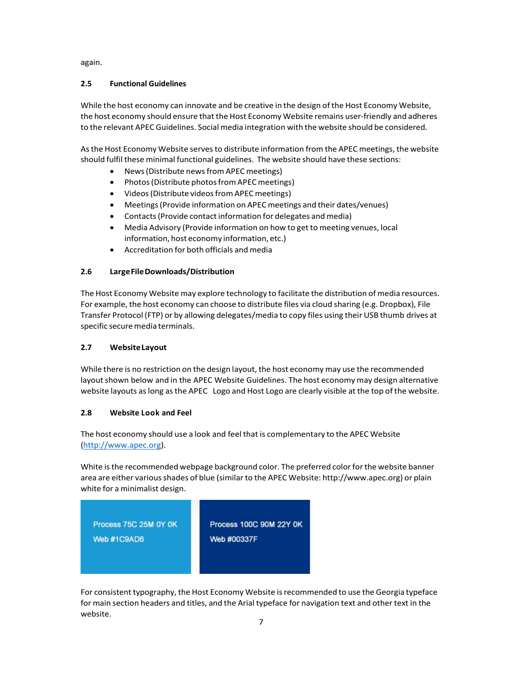again.

## **2.5 Functional Guidelines**

While the host economy can innovate and be creative in the design of the Host Economy Website, the host economy should ensure that the Host Economy Website remains user‐friendly and adheres to the relevant APEC Guidelines. Social media integration with the website should be considered.

As the Host Economy Website serves to distribute information from the APEC meetings, the website should fulfil these minimal functional guidelines. The website should have these sections:

- News(Distribute newsfromAPEC meetings)
- Photos (Distribute photos from APEC meetings)
- Videos (Distribute videos from APEC meetings)
- Meetings(Provide information on APECmeetings and their dates/venues)
- Contacts (Provide contact information for delegates and media)
- Media Advisory (Provide information on how to get to meeting venues, local information, host economy information, etc.)
- Accreditation for both officials and media

## **2.6 LargeFileDownloads/Distribution**

The Host Economy Website may explore technology to facilitate the distribution of media resources. For example, the host economy can choose to distribute files via cloud sharing (e.g. Dropbox), File Transfer Protocol (FTP) or by allowing delegates/media to copy files using their USB thumb drives at specific secure media terminals.

## **2.7 WebsiteLayout**

While there is no restriction on the design layout, the host economy may use the recommended layout shown below and in the APEC Website Guidelines. The host economy may design alternative website layouts aslong asthe APEC Logo and Host Logo are clearly visible at the top ofthe website.

## **2.8 Website Look and Feel**

The host economy should use a look and feel that is complementary to the APEC Website (http://www.apec.org).

White is the recommended webpage background color. The preferred color for the website banner area are either various shades of blue (similar to the APEC Website: http://www.apec.org) or plain white for a minimalist design.



For consistent typography, the Host Economy Website isrecommended to use the Georgia typeface for main section headers and titles, and the Arial typeface for navigation text and other text in the website.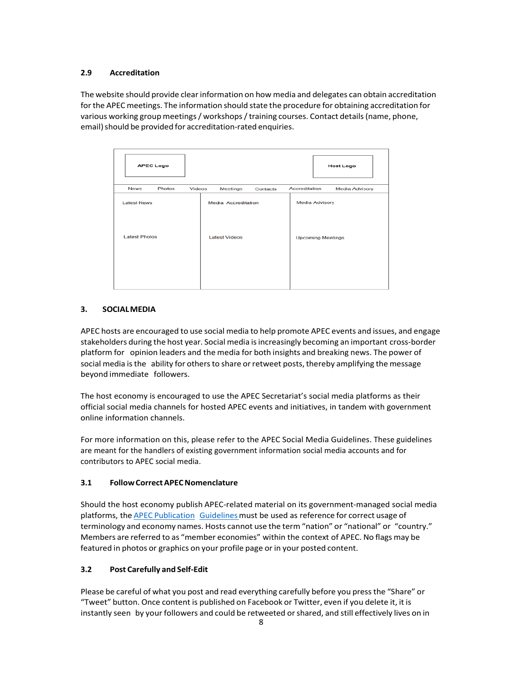## **2.9 Accreditation**

The website should provide clear information on how media and delegates can obtain accreditation forthe APEC meetings. The information should state the procedure for obtaining accreditation for various working group meetings/ workshops/training courses. Contact details(name, phone, email) should be provided for accreditation-rated enquiries.

| <b>APEC Logo</b>                           |                                                    | <b>Host Logo</b>                                  |
|--------------------------------------------|----------------------------------------------------|---------------------------------------------------|
| Photos<br><b>News</b><br><b>Videos</b>     | Meetings<br>Contacts                               | Accreditation<br><b>Media Advisory</b>            |
| <b>Latest News</b><br><b>Latest Photos</b> | <b>Media Accreditation</b><br><b>Latest Videos</b> | <b>Media Advisory</b><br><b>Upcoming Meetings</b> |

## **3. SOCIALMEDIA**

APEC hosts are encouraged to use social media to help promote APEC events and issues, and engage stakeholders during the host year. Social media isincreasingly becoming an important cross-border platform for opinion leaders and the media for both insights and breaking news. The power of social media is the ability for others to share or retweet posts, thereby amplifying the message beyond immediate followers.

The host economy is encouraged to use the APEC Secretariat's social media platforms as their official social media channels for hosted APEC events and initiatives, in tandem with government online information channels.

For more information on this, please refer to the APEC Social Media Guidelines. These guidelines are meant for the handlers of existing government information social media accounts and for contributors to APEC social media.

## **3.1 FollowCorrectAPECNomenclature**

Should the host economy publish APEC-related material on its government-managed social media platforms, the **APEC Publication** Guidelines must be used as reference for correct usage of terminology and economy names. Hosts cannot use the term "nation" or "national" or "country." Members are referred to as "member economies" within the context of APEC. No flags may be featured in photos or graphics on your profile page or in your posted content.

## **3.2 Post Carefully and Self‐Edit**

Please be careful of what you post and read everything carefully before you pressthe "Share" or "Tweet" button. Once content is published on Facebook or Twitter, even if you delete it, it is instantly seen by your followers and could be retweeted or shared, and still effectively lives on in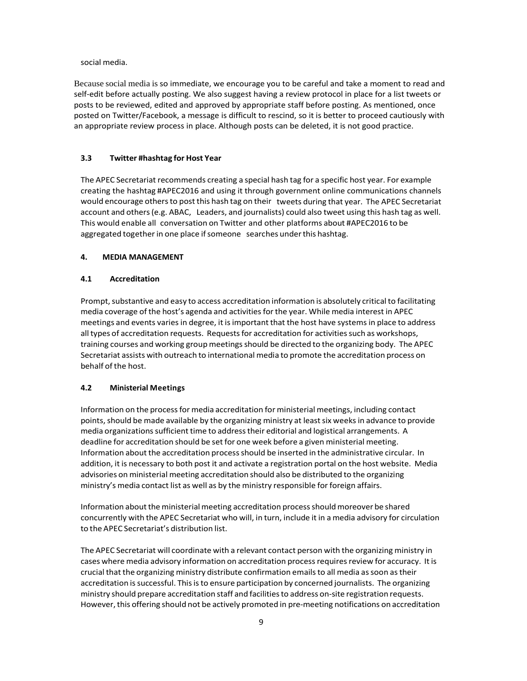social media.

Because social media is so immediate, we encourage you to be careful and take a moment to read and self-edit before actually posting. We also suggest having a review protocol in place for a list tweets or posts to be reviewed, edited and approved by appropriate staff before posting. As mentioned, once posted on Twitter/Facebook, a message is difficult to rescind, so it is better to proceed cautiously with an appropriate review process in place. Although posts can be deleted, it is not good practice.

#### **3.3 Twitter #hashtag for Host Year**

The APEC Secretariat recommends creating a special hash tag for a specific host year. For example creating the hashtag #APEC2016 and using it through government online communications channels would encourage othersto post this hash tag on their tweets during that year. The APEC Secretariat account and others(e.g. ABAC, Leaders, and journalists) could also tweet using this hash tag as well. This would enable all conversation on Twitter and other platforms about #APEC2016 to be aggregated together in one place if someone searches under this hashtag.

#### **4. MEDIA MANAGEMENT**

#### **4.1 Accreditation**

Prompt, substantive and easy to access accreditation information is absolutely critical to facilitating media coverage of the host's agenda and activities for the year. While media interest in APEC meetings and events variesin degree, it isimportant that the host have systems in place to address all types of accreditation requests. Requests for accreditation for activities such as workshops, training courses and working group meetingsshould be directed to the organizing body. The APEC Secretariat assists with outreach to international media to promote the accreditation process on behalf of the host.

#### **4.2 Ministerial Meetings**

Information on the processfor media accreditation forministerial meetings, including contact points, should be made available by the organizing ministry at least six weeks in advance to provide media organizations sufficient time to address their editorial and logistical arrangements. A deadline for accreditation should be set for one week before a given ministerial meeting. Information about the accreditation processshould be inserted in the administrative circular. In addition, it is necessary to both post it and activate a registration portal on the host website. Media advisories on ministerial meeting accreditation should also be distributed to the organizing ministry's media contact list as well as by the ministry responsible for foreign affairs.

Information about the ministerial meeting accreditation process should moreover be shared concurrently with the APEC Secretariat who will, in turn, include it in a media advisory for circulation to the APEC Secretariat's distribution list.

The APEC Secretariat will coordinate with a relevant contact person with the organizing ministry in cases where media advisory information on accreditation process requires review for accuracy. It is crucial that the organizing ministry distribute confirmation emailsto all media assoon astheir accreditation is successful. This is to ensure participation by concerned journalists. The organizing ministry should prepare accreditation staff and facilitiesto address on‐site registration requests. However, this offering should not be actively promoted in pre-meeting notifications on accreditation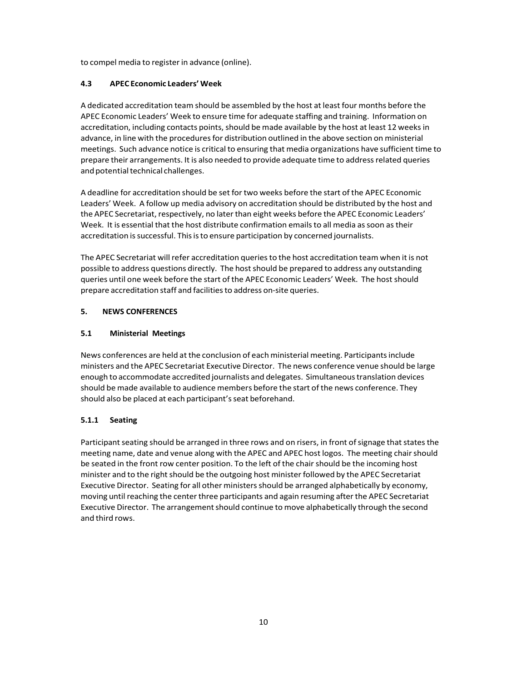to compel media to registerin advance (online).

## **4.3 APEC Economic Leaders' Week**

A dedicated accreditation team should be assembled by the host at least four months before the APEC Economic Leaders' Week to ensure time for adequate staffing and training. Information on accreditation, including contacts points, should be made available by the host at least 12 weeks in advance, in line with the procedures for distribution outlined in the above section on ministerial meetings. Such advance notice is critical to ensuring that media organizations have sufficient time to prepare their arrangements. It is also needed to provide adequate time to addressrelated queries and potential technical challenges.

A deadline for accreditation should be set for two weeks before the start of the APEC Economic Leaders' Week. A follow up media advisory on accreditation should be distributed by the host and the APEC Secretariat, respectively, no later than eight weeks before the APEC Economic Leaders' Week. It is essential that the host distribute confirmation emails to all media as soon as their accreditation is successful. This is to ensure participation by concerned journalists.

The APEC Secretariat will refer accreditation queries to the host accreditation team when it is not possible to address questions directly. The host should be prepared to address any outstanding queries until one week before the start ofthe APEC Economic Leaders' Week. The host should prepare accreditation staff and facilitiesto address on‐site queries.

## **5. NEWS CONFERENCES**

## **5.1 Ministerial Meetings**

News conferences are held at the conclusion of each ministerial meeting. Participantsinclude ministers and the APEC Secretariat Executive Director. The news conference venue should be large enough to accommodate accredited journalists and delegates. Simultaneoustranslation devices should be made available to audience members before the start of the news conference. They should also be placed at each participant'sseat beforehand.

## **5.1.1 Seating**

Participant seating should be arranged in three rows and on risers, in front of signage that states the meeting name, date and venue along with the APEC and APEC host logos. The meeting chair should be seated in the front row center position. To the left of the chair should be the incoming host minister and to the right should be the outgoing host minister followed by the APEC Secretariat Executive Director. Seating for all other ministersshould be arranged alphabetically by economy, moving until reaching the centerthree participants and again resuming afterthe APEC Secretariat Executive Director. The arrangement should continue to move alphabetically through the second and third rows.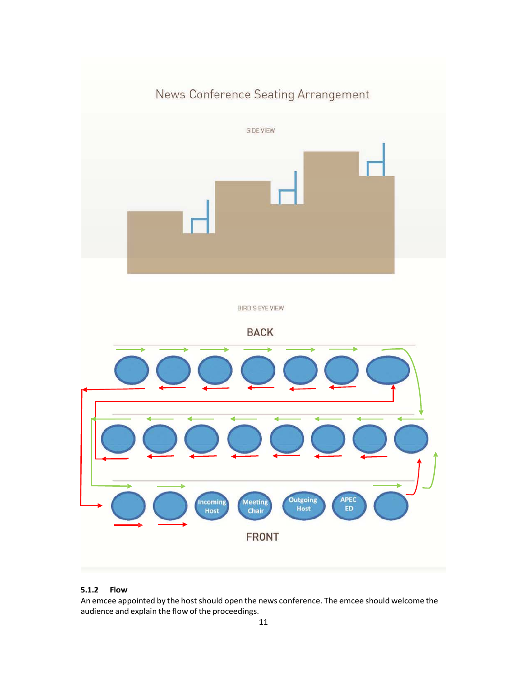

## **5.1.2 Flow**

An emcee appointed by the host should open the news conference. The emcee should welcome the audience and explain the flow of the proceedings.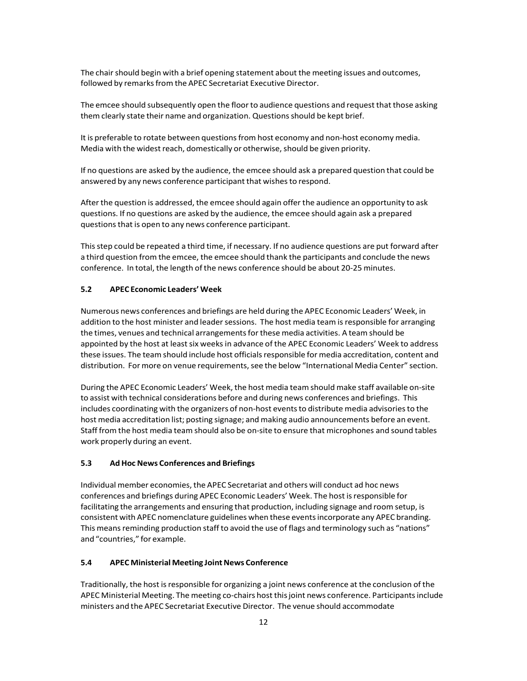The chair should begin with a brief opening statement about the meeting issues and outcomes, followed by remarks from the APEC Secretariat Executive Director.

The emcee should subsequently open the floorto audience questions and request that those asking them clearly state their name and organization. Questions should be kept brief.

It is preferable to rotate between questions from host economy and non-host economy media. Media with the widest reach, domestically or otherwise, should be given priority.

If no questions are asked by the audience, the emcee should ask a prepared question that could be answered by any news conference participant that wishes to respond.

After the question is addressed, the emcee should again offer the audience an opportunity to ask questions. If no questions are asked by the audience, the emcee should again ask a prepared questionsthat is open to any news conference participant.

Thisstep could be repeated a third time, if necessary. If no audience questions are put forward after a third question from the emcee, the emcee should thank the participants and conclude the news conference. In total, the length of the news conference should be about 20-25 minutes.

## **5.2 APEC Economic Leaders' Week**

Numerous news conferences and briefings are held during the APEC Economic Leaders' Week, in addition to the host minister and leader sessions. The host media team is responsible for arranging the times, venues and technical arrangements for these media activities. A team should be appointed by the host at least six weeks in advance of the APEC Economic Leaders' Week to address these issues. The team should include host officials responsible for media accreditation, content and distribution. For more on venue requirements, see the below "International Media Center" section.

During the APEC Economic Leaders' Week, the host media team should make staff available on‐site to assist with technical considerations before and during news conferences and briefings. This includes coordinating with the organizers of non-host events to distribute media advisories to the host media accreditation list; posting signage; and making audio announcements before an event. Staff from the host media team should also be on‐site to ensure that microphones and sound tables work properly during an event.

#### **5.3 AdHoc News Conferences and Briefings**

Individual member economies, the APEC Secretariat and others will conduct ad hoc news conferences and briefings during APEC Economic Leaders' Week. The host isresponsible for facilitating the arrangements and ensuring that production, including signage and room setup, is consistent with APEC nomenclature guidelines when these eventsincorporate any APEC branding. This means reminding production staff to avoid the use of flags and terminology such as "nations" and "countries," for example.

#### **5.4 APEC Ministerial Meeting JointNews Conference**

Traditionally, the host is responsible for organizing a joint news conference at the conclusion of the APEC Ministerial Meeting. The meeting co-chairs host this joint news conference. Participants include ministers and the APEC Secretariat Executive Director. The venue should accommodate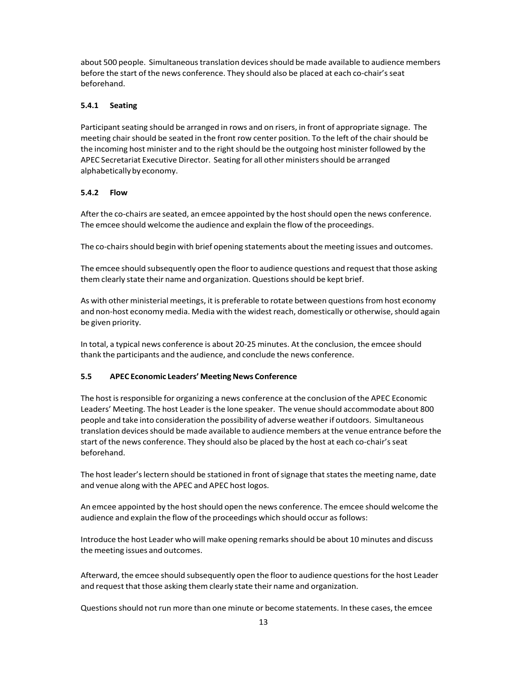about 500 people. Simultaneous translation devices should be made available to audience members before the start of the news conference. They should also be placed at each co-chair's seat beforehand.

## **5.4.1 Seating**

Participant seating should be arranged in rows and on risers, in front of appropriate signage. The meeting chair should be seated in the front row center position. To the left of the chair should be the incoming host minister and to the right should be the outgoing host minister followed by the APEC Secretariat Executive Director. Seating for all other ministersshould be arranged alphabetically by economy.

#### **5.4.2 Flow**

After the co-chairs are seated, an emcee appointed by the host should open the news conference. The emcee should welcome the audience and explain the flow of the proceedings.

The co-chairs should begin with brief opening statements about the meeting issues and outcomes.

The emcee should subsequently open the floorto audience questions and request that those asking them clearly state their name and organization. Questions should be kept brief.

As with other ministerial meetings, it is preferable to rotate between questionsfrom host economy and non-host economy media. Media with the widest reach, domestically or otherwise, should again be given priority.

In total, a typical news conference is about 20‐25 minutes. At the conclusion, the emcee should thank the participants and the audience, and conclude the news conference.

#### **5.5 APEC Economic Leaders' MeetingNews Conference**

The host isresponsible for organizing a news conference at the conclusion ofthe APEC Economic Leaders' Meeting. The host Leader isthe lone speaker. The venue should accommodate about 800 people and take into consideration the possibility of adverse weatherif outdoors. Simultaneous translation devices should be made available to audience members at the venue entrance before the start of the news conference. They should also be placed by the host at each co-chair's seat beforehand.

The host leader's lectern should be stationed in front of signage that states the meeting name, date and venue along with the APEC and APEC host logos.

An emcee appointed by the host should open the news conference. The emcee should welcome the audience and explain the flow of the proceedings which should occur as follows:

Introduce the host Leader who will make opening remarks should be about 10 minutes and discuss the meeting issues and outcomes.

Afterward, the emcee should subsequently open the floor to audience questionsforthe host Leader and request that those asking them clearly state their name and organization.

Questionsshould notrun more than one minute or become statements. In these cases, the emcee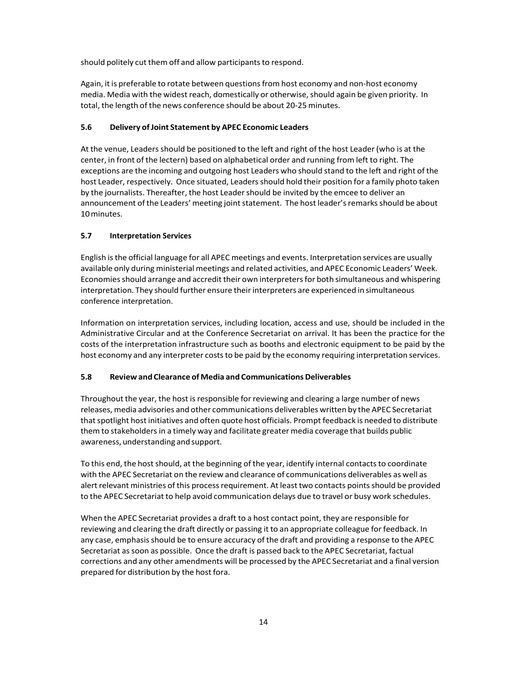should politely cut them off and allow participants to respond.

Again, it is preferable to rotate between questionsfrom host economy and non‐host economy media. Media with the widest reach, domestically or otherwise, should again be given priority. In total, the length of the news conference should be about 20‐25 minutes.

## **5.6 Delivery ofJoint Statement by APEC Economic Leaders**

At the venue, Leaders should be positioned to the left and right of the host Leader (who is at the center, in front of the lectern) based on alphabetical order and running from left to right. The exceptions are the incoming and outgoing host Leaders who should stand to the left and right of the host Leader, respectively. Once situated, Leaders should hold their position for a family photo taken by the journalists. Thereafter, the host Leader should be invited by the emcee to deliver an announcement of the Leaders' meeting joint statement. The host leader's remarks should be about 10minutes.

## **5.7 Interpretation Services**

English isthe official language for all APEC meetings and events. Interpretation services are usually available only during ministerial meetings and related activities, and APEC Economic Leaders' Week. Economies should arrange and accredit their own interpreters for both simultaneous and whispering interpretation. They should further ensure their interpreters are experienced in simultaneous conference interpretation.

Information on interpretation services, including location, access and use, should be included in the Administrative Circular and at the Conference Secretariat on arrival. It has been the practice for the costs of the interpretation infrastructure such as booths and electronic equipment to be paid by the host economy and any interpreter costs to be paid by the economy requiring interpretation services.

## **5.8 Review and Clearance of Media and CommunicationsDeliverables**

Throughout the year, the host is responsible for reviewing and clearing a large number of news releases, media advisories and other communications deliverables written by the APEC Secretariat that spotlight host initiatives and often quote host officials. Prompt feedback is needed to distribute them to stakeholders in a timely way and facilitate greater media coverage that builds public awareness,understanding andsupport.

To this end, the host should, at the beginning of the year, identify internal contacts to coordinate with the APEC Secretariat on the review and clearance of communications deliverables as well as alert relevant ministries of this process requirement. At least two contacts points should be provided to the APEC Secretariat to help avoid communication delays due to travel or busy work schedules.

When the APEC Secretariat provides a draft to a host contact point, they are responsible for reviewing and clearing the draft directly or passing it to an appropriate colleague forfeedback. In any case, emphasis should be to ensure accuracy of the draft and providing a response to the APEC Secretariat assoon as possible. Once the draft is passed back to the APEC Secretariat, factual corrections and any other amendments will be processed by the APEC Secretariat and a final version prepared for distribution by the host fora.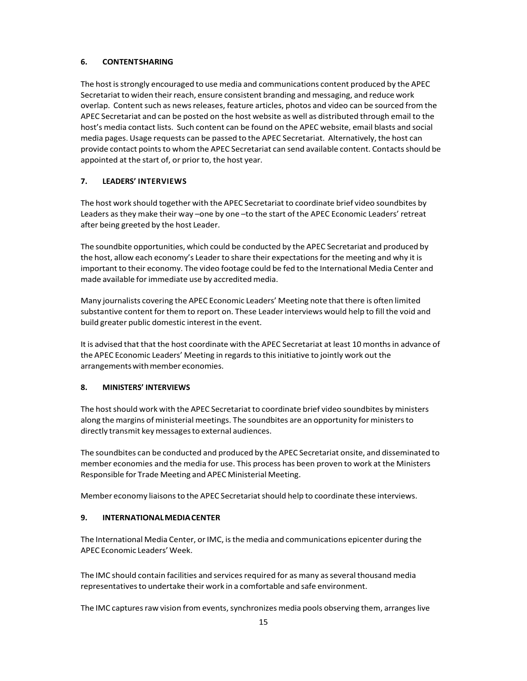## **6. CONTENTSHARING**

The host is strongly encouraged to use media and communications content produced by the APEC Secretariat to widen their reach, ensure consistent branding and messaging, and reduce work overlap. Content such as news releases, feature articles, photos and video can be sourced from the APEC Secretariat and can be posted on the host website as well as distributed through email to the host's media contact lists. Such content can be found on the APEC website, email blasts and social media pages. Usage requests can be passed to the APEC Secretariat. Alternatively, the host can provide contact points to whom the APEC Secretariat can send available content. Contacts should be appointed at the start of, or prior to, the host year.

#### **7. LEADERS' INTERVIEWS**

The host work should together with the APEC Secretariat to coordinate brief video soundbites by Leaders asthey make their way –one by one –to the start of the APEC Economic Leaders' retreat after being greeted by the host Leader.

The soundbite opportunities, which could be conducted by the APEC Secretariat and produced by the host, allow each economy's Leader to share their expectationsfor the meeting and why it is important to their economy. The video footage could be fed to the International Media Center and made available for immediate use by accredited media.

Many journalists covering the APEC Economic Leaders' Meeting note that there is often limited substantive content for them to report on. These Leader interviews would help to fill the void and build greater public domestic interest in the event.

It is advised that that the host coordinate with the APEC Secretariat at least 10 monthsin advance of the APEC Economic Leaders' Meeting in regardsto thisinitiative to jointly work out the arrangements with member economies.

#### **8. MINISTERS' INTERVIEWS**

The host should work with the APEC Secretariat to coordinate brief video soundbites by ministers along the margins of ministerial meetings. The soundbites are an opportunity for ministersto directly transmit keymessagesto external audiences.

The soundbites can be conducted and produced by the APEC Secretariat onsite, and disseminated to member economies and the media for use. This process has been proven to work at the Ministers Responsible for Trade Meeting and APEC Ministerial Meeting.

Member economy liaisons to the APEC Secretariat should help to coordinate these interviews.

#### **9. INTERNATIONALMEDIACENTER**

The International Media Center, or IMC, is the media and communications epicenter during the APEC Economic Leaders' Week.

The IMC should contain facilities and services required for as many as several thousand media representatives to undertake their work in a comfortable and safe environment.

The IMC captures raw vision from events, synchronizes media pools observing them, arranges live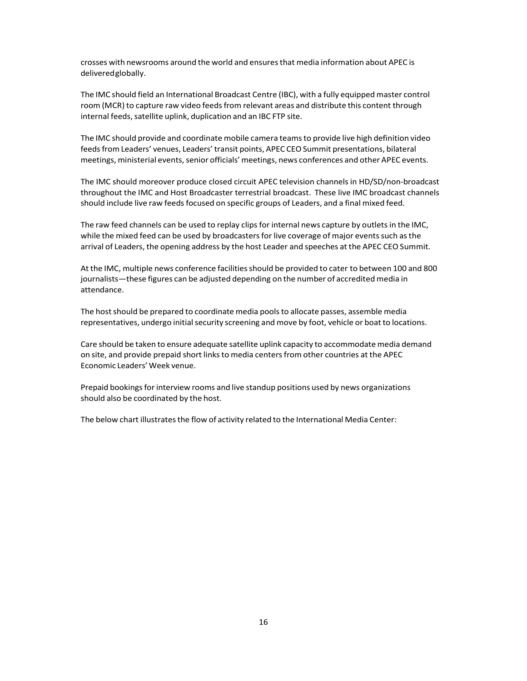crosses with newsrooms around the world and ensuresthat media information about APEC is deliveredglobally.

The IMC should field an International Broadcast Centre (IBC), with a fully equipped master control room (MCR) to capture raw video feeds from relevant areas and distribute this content through internal feeds, satellite uplink, duplication and an IBC FTP site.

The IMC should provide and coordinate mobile camera teamsto provide live high definition video feeds from Leaders' venues, Leaders' transit points, APEC CEO Summit presentations, bilateral meetings, ministerial events, senior officials' meetings, news conferences and other APEC events.

The IMC should moreover produce closed circuit APEC television channels in HD/SD/non‐broadcast throughout the IMC and Host Broadcaster terrestrial broadcast. These live IMC broadcast channels should include live raw feedsfocused on specific groups of Leaders, and a final mixed feed.

The raw feed channels can be used to replay clips for internal news capture by outlets in the IMC, while the mixed feed can be used by broadcasters for live coverage of major events such as the arrival of Leaders, the opening address by the host Leader and speeches at the APEC CEO Summit.

At the IMC, multiple news conference facilities should be provided to cater to between 100 and 800 journalists—these figures can be adjusted depending on the number of accredited media in attendance.

The host should be prepared to coordinate media pools to allocate passes, assemble media representatives, undergo initial security screening and move by foot, vehicle or boat to locations.

Care should be taken to ensure adequate satellite uplink capacity to accommodate media demand on site, and provide prepaid short linksto media centersfrom other countries at the APEC Economic Leaders'Week venue.

Prepaid bookings for interview rooms and live standup positions used by news organizations should also be coordinated by the host.

The below chart illustrates the flow of activity related to the International Media Center: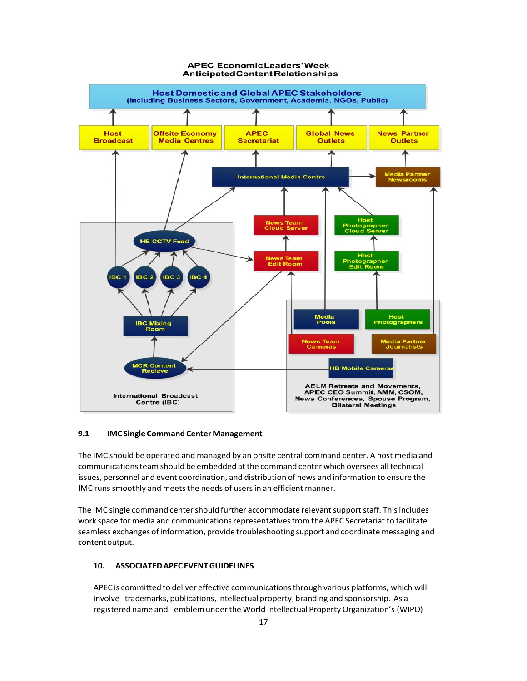

#### **APEC EconomicLeaders'Week Anticipated Content Relationships**

#### **9.1 IMCSingle Command Center Management**

The IMC should be operated and managed by an onsite central command center. A host media and communicationsteam should be embedded at the command center which oversees all technical issues, personnel and event coordination, and distribution of news and information to ensure the IMC runs smoothly and meets the needs of users in an efficient manner.

The IMC single command center should further accommodate relevant support staff. This includes work space for media and communications representatives from the APEC Secretariat to facilitate seamless exchanges of information, provide troubleshooting support and coordinate messaging and content output.

#### **10. ASSOCIATEDAPECEVENTGUIDELINES**

APEC is committed to deliver effective communicationsthrough various platforms, which will involve trademarks, publications, intellectual property, branding and sponsorship. As a registered name and emblemunderthe World Intellectual Property Organization's (WIPO)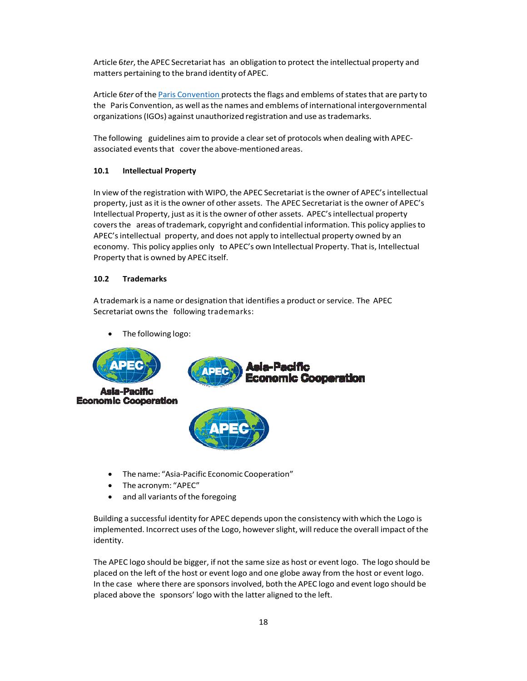Article 6*ter*, the APEC Secretariat has an obligation to protect the intellectual property and matters pertaining to the brand identity of APEC.

Article 6ter of the Paris Convention protects the flags and emblems of states that are party to the Paris Convention, as well asthe names and emblems of international intergovernmental organizations (IGOs) against unauthorized registration and use as trademarks.

The following guidelines aim to provide a clear set of protocols when dealing with APECassociated events that cover the above-mentioned areas.

## **10.1 Intellectual Property**

In view of the registration with WIPO, the APEC Secretariat isthe owner of APEC'sintellectual property, just asit is the owner of other assets. The APEC Secretariat isthe owner of APEC's Intellectual Property, just asit isthe owner of other assets. APEC'sintellectual property coversthe areas oftrademark, copyright and confidential information. This policy appliesto APEC'sintellectual property, and does not apply to intellectual property owned by an economy. This policy applies only to APEC's own Intellectual Property. That is, Intellectual Property that is owned by APEC itself.

#### **10.2 Trademarks**

A trademark is a name or designation that identifies a product orservice. The APEC Secretariat owns the following trademarks:

• The following logo:



- The name: "Asia‐Pacific Economic Cooperation"
- The acronym: "APEC"
- and all variants of the foregoing

Building a successful identity for APEC depends upon the consistency with which the Logo is implemented. Incorrect uses of the Logo, however slight, will reduce the overall impact of the identity.

The APEC logo should be bigger, if not the same size as host or event logo. The logo should be placed on the left of the host or event logo and one globe away from the host or event logo. In the case where there are sponsors involved, both the APEC logo and event logo should be placed above the sponsors' logo with the latter aligned to the left.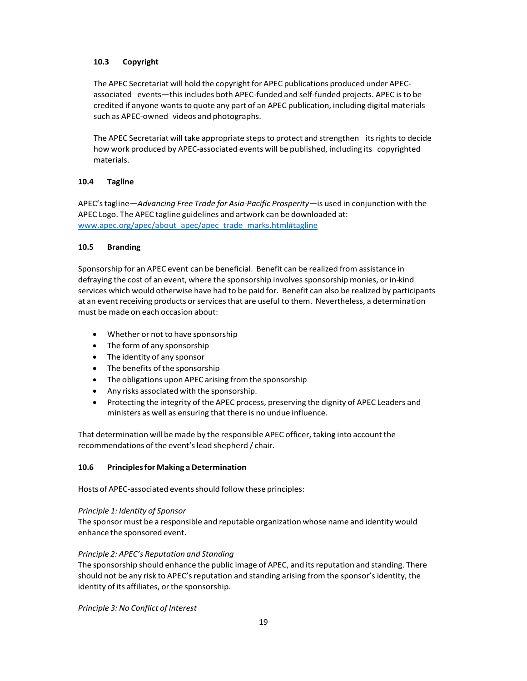## **10.3 Copyright**

The APEC Secretariat will hold the copyright for APEC publications produced under APECassociated events—thisincludes both APEC‐funded and self‐funded projects. APEC isto be credited if anyone wantsto quote any part of an APEC publication, including digital materials such as APEC‐owned videos and photographs.

The APEC Secretariat will take appropriate steps to protect and strengthen its rights to decide how work produced by APEC-associated events will be published, including its copyrighted materials.

#### **10.4 Tagline**

APEC'stagline—*Advancing Free Trade for Asia‐Pacific Prosperity—*is used in conjunction with the APEC Logo. The APEC tagline guidelines and artwork can be downloaded at: [www.apec.org/apec/about\\_apec/apec\\_trade\\_marks.html#tagline](http://www.apec.org/apec/about_apec/apec_trade_marks.html#tagline)

#### **10.5 Branding**

Sponsorship for an APEC event can be beneficial. Benefit can be realized from assistance in defraying the cost of an event, where the sponsorship involves sponsorship monies, or in-kind services which would otherwise have had to be paid for. Benefit can also be realized by participants at an event receiving products or services that are useful to them. Nevertheless, a determination must be made on each occasion about:

- Whether or not to have sponsorship
- The form of any sponsorship
- The identity of any sponsor
- The benefits of the sponsorship
- The obligations upon APEC arising from the sponsorship
- Any risks associated with the sponsorship.
- Protecting the integrity of the APEC process, preserving the dignity of APEC Leaders and ministers as well as ensuring that there is no undue influence.

That determination will be made by the responsible APEC officer, taking into account the recommendations of the event's lead shepherd / chair.

## **10.6 Principlesfor Making aDetermination**

Hosts of APEC-associated events should follow these principles:

#### *Principle 1: Identity of Sponsor*

The sponsor must be a responsible and reputable organization whose name and identity would enhance the sponsored event.

#### *Principle 2: APEC's Reputation and Standing*

The sponsorship should enhance the public image of APEC, and itsreputation and standing. There should not be any risk to APEC's reputation and standing arising from the sponsor's identity, the identity of its affiliates, or the sponsorship.

*Principle 3: No Conflict of Interest*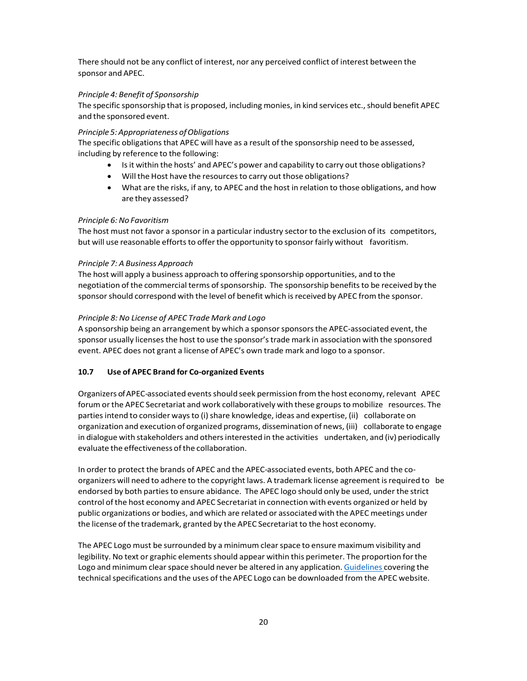There should not be any conflict of interest, nor any perceived conflict of interest between the sponsor and APEC.

#### *Principle 4: Benefit of Sponsorship*

The specific sponsorship that is proposed, including monies, in kind services etc., should benefit APEC and the sponsored event.

#### *Principle 5: Appropriateness of Obligations*

The specific obligations that APEC will have as a result of the sponsorship need to be assessed, including by reference to the following:

- Isit within the hosts' and APEC's power and capability to carry out those obligations?
- Will the Host have the resources to carry out those obligations?
- What are the risks, if any, to APEC and the host in relation to those obligations, and how are they assessed?

#### *Principle 6:No Favoritism*

The host must not favor a sponsor in a particular industry sector to the exclusion of its competitors, but will use reasonable efforts to offer the opportunity to sponsor fairly without favoritism.

#### *Principle 7: A Business Approach*

The host will apply a business approach to offering sponsorship opportunities, and to the negotiation of the commercial terms of sponsorship. The sponsorship benefits to be received by the sponsor should correspond with the level of benefit which is received by APEC from the sponsor.

#### *Principle 8: No License of APEC Trade Mark and Logo*

A sponsorship being an arrangement by which a sponsor sponsors the APEC-associated event, the sponsor usually licensesthe host to use the sponsor'strade mark in association with the sponsored event. APEC does not grant a license of APEC's own trade mark and logo to a sponsor.

## **10.7 Use of APEC Brand for Co‐organized Events**

Organizers of APEC-associated eventsshould seek permission fromthe host economy,relevant APEC forum orthe APEC Secretariat and work collaboratively with these groupsto mobilize resources. The parties intend to consider ways to (i) share knowledge, ideas and expertise, (ii) collaborate on organization and execution of organized programs, dissemination of news, (iii) collaborate to engage in dialogue with stakeholders and others interested in the activities undertaken, and (iv) periodically evaluate the effectiveness of the collaboration.

In order to protect the brands of APEC and the APEC-associated events, both APEC and the co‐ organizers will need to adhere to the copyright laws. A trademark license agreement isrequired to be endorsed by both partiesto ensure abidance. The APEC logo should only be used, under the strict control of the host economy and APEC Secretariat in connection with events organized or held by public organizations or bodies, and which are related or associated with the APEC meetings under the license of the trademark, granted by the APEC Secretariat to the host economy.

The APEC Logo must be surrounded by a minimum clearspace to ensure maximum visibility and legibility. No text or graphic elements should appear within this perimeter. The proportion for the Logo and minimum clear space should never be altered in any application. Guidelines covering the technical specifications and the uses of the APEC Logo can be downloaded from the APEC website.